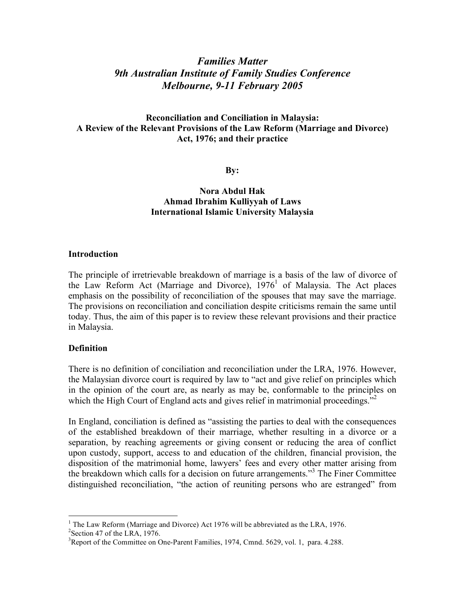# *Families Matter 9th Australian Institute of Family Studies Conference Melbourne, 9-11 February 2005*

# **Reconciliation and Conciliation in Malaysia: A Review of the Relevant Provisions of the Law Reform (Marriage and Divorce) Act, 1976; and their practice**

**By:**

## **Nora Abdul Hak Ahmad Ibrahim Kulliyyah of Laws International Islamic University Malaysia**

#### **Introduction**

The principle of irretrievable breakdown of marriage is a basis of the law of divorce of the Law Reform Act (Marriage and Divorce),  $1976<sup>1</sup>$  of Malaysia. The Act places emphasis on the possibility of reconciliation of the spouses that may save the marriage. The provisions on reconciliation and conciliation despite criticisms remain the same until today. Thus, the aim of this paper is to review these relevant provisions and their practice in Malaysia.

### **Definition**

There is no definition of conciliation and reconciliation under the LRA, 1976. However, the Malaysian divorce court is required by law to "act and give relief on principles which in the opinion of the court are, as nearly as may be, conformable to the principles on which the High Court of England acts and gives relief in matrimonial proceedings."<sup>2</sup>

In England, conciliation is defined as "assisting the parties to deal with the consequences of the established breakdown of their marriage, whether resulting in a divorce or a separation, by reaching agreements or giving consent or reducing the area of conflict upon custody, support, access to and education of the children, financial provision, the disposition of the matrimonial home, lawyers' fees and every other matter arising from the breakdown which calls for a decision on future arrangements." <sup>3</sup> The Finer Committee distinguished reconciliation, "the action of reuniting persons who are estranged" from

 $<sup>1</sup>$  The Law Reform (Marriage and Divorce) Act 1976 will be abbreviated as the LRA, 1976.</sup>

 $2$ Section 47 of the LRA, 1976.

<sup>&</sup>lt;sup>3</sup>Report of the Committee on One-Parent Families, 1974, Cmnd. 5629, vol. 1, para. 4.288.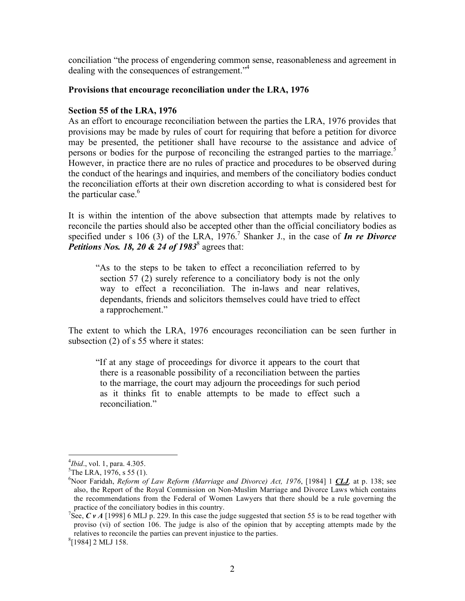conciliation "the process of engendering common sense, reasonableness and agreement in dealing with the consequences of estrangement." 4

#### **Provisions that encourage reconciliation under the LRA, 1976**

#### **Section 55 of the LRA, 1976**

As an effort to encourage reconciliation between the parties the LRA, 1976 provides that provisions may be made by rules of court for requiring that before a petition for divorce may be presented, the petitioner shall have recourse to the assistance and advice of persons or bodies for the purpose of reconciling the estranged parties to the marriage.<sup>5</sup> However, in practice there are no rules of practice and procedures to be observed during the conduct of the hearings and inquiries, and members of the conciliatory bodies conduct the reconciliation efforts at their own discretion according to what is considered best for the particular case.<sup>6</sup>

It is within the intention of the above subsection that attempts made by relatives to reconcile the parties should also be accepted other than the official conciliatory bodies as specified under s 106 (3) of the LRA, 1976. <sup>7</sup> Shanker J., in the case of *In re Divorce Petitions Nos. 18, 20 & 24 of 1983*<sup>8</sup> agrees that:

"As to the steps to be taken to effect a reconciliation referred to by section 57 (2) surely reference to a conciliatory body is not the only way to effect a reconciliation. The in-laws and near relatives, dependants, friends and solicitors themselves could have tried to effect a rapprochement."

The extent to which the LRA, 1976 encourages reconciliation can be seen further in subsection (2) of s 55 where it states:

"If at any stage of proceedings for divorce it appears to the court that there is a reasonable possibility of a reconciliation between the parties to the marriage, the court may adjourn the proceedings for such period as it thinks fit to enable attempts to be made to effect such a reconciliation."

 $\frac{1}{4}$  $^{4}Ibid.,$  vol. 1, para. 4.305.

 ${}^{5}$ The LRA, 1976, s 55 (1).

Noor Faridah, *Reform of Law Reform (Marriage and Divorce) Act, 1976*, [1984] 1 *CLJ,* at p. 138; see also, the Report of the Royal Commission on Non-Muslim Marriage and Divorce Laws which contains the recommendations from the Federal of Women Lawyers that there should be a rule governing the practice of the conciliatory bodies in this country. <sup>7</sup>

<sup>&</sup>lt;sup>7</sup>See,  $C$  *v A* [1998] 6 MLJ p. 229. In this case the judge suggested that section 55 is to be read together with proviso (vi) of section 106. The judge is also of the opinion that by accepting attempts made by the relatives to reconcile the parties can prevent injustice to the parties.

 $^{8}$ [1984] 2 MLJ 158.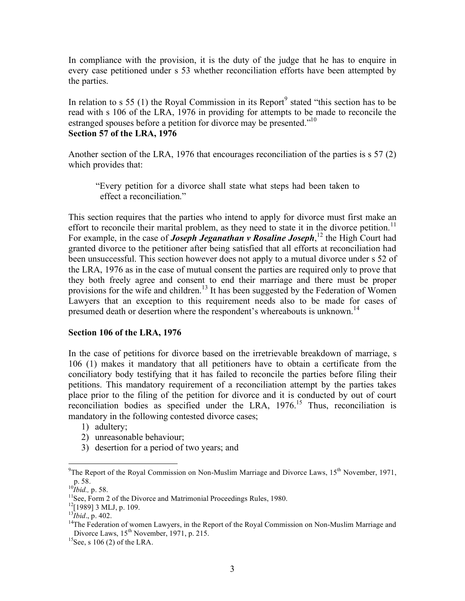In compliance with the provision, it is the duty of the judge that he has to enquire in every case petitioned under s 53 whether reconciliation efforts have been attempted by the parties.

In relation to s 55 (1) the Royal Commission in its Report<sup>9</sup> stated "this section has to be read with s 106 of the LRA, 1976 in providing for attempts to be made to reconcile the estranged spouses before a petition for divorce may be presented."<sup>10</sup> **Section 57 of the LRA, 1976**

Another section of the LRA, 1976 that encourages reconciliation of the parties is s 57 (2) which provides that:

"Every petition for a divorce shall state what steps had been taken to effect a reconciliation."

This section requires that the parties who intend to apply for divorce must first make an effort to reconcile their marital problem, as they need to state it in the divorce petition.<sup>11</sup> For example, in the case of *Joseph Jeganathan v Rosaline Joseph*, <sup>12</sup> the High Court had granted divorce to the petitioner after being satisfied that all efforts at reconciliation had been unsuccessful. This section however does not apply to a mutual divorce under s 52 of the LRA, 1976 as in the case of mutual consent the parties are required only to prove that they both freely agree and consent to end their marriage and there must be proper provisions for the wife and children.<sup>13</sup> It has been suggested by the Federation of Women Lawyers that an exception to this requirement needs also to be made for cases of presumed death or desertion where the respondent's whereabouts is unknown.<sup>14</sup>

### **Section 106 of the LRA, 1976**

In the case of petitions for divorce based on the irretrievable breakdown of marriage, s 106 (1) makes it mandatory that all petitioners have to obtain a certificate from the conciliatory body testifying that it has failed to reconcile the parties before filing their petitions. This mandatory requirement of a reconciliation attempt by the parties takes place prior to the filing of the petition for divorce and it is conducted by out of court reconciliation bodies as specified under the LRA, 1976.<sup>15</sup> Thus, reconciliation is mandatory in the following contested divorce cases;

- 1) adultery;
- 2) unreasonable behaviour;
- 3) desertion for a period of two years; and

<sup>-&</sup>lt;br>9 <sup>9</sup>The Report of the Royal Commission on Non-Muslim Marriage and Divorce Laws,  $15<sup>th</sup>$  November, 1971, p. 58.

<sup>&</sup>lt;sup>10</sup>*Ibid.*, p. 58.<br><sup>11</sup>See, Ferm.

 $11$ See, Form 2 of the Divorce and Matrimonial Proceedings Rules, 1980.

 $^{12}$ [1989] 3 MLJ, p. 109.

 $^{13}$ *Ibid.*, p. 402.

<sup>&</sup>lt;sup>14</sup>The Federation of women Lawyers, in the Report of the Royal Commission on Non-Muslim Marriage and Divorce Laws, 15<sup>th</sup> November, 1971, p. 215.

 $^{15}$ See, s 106 (2) of the LRA.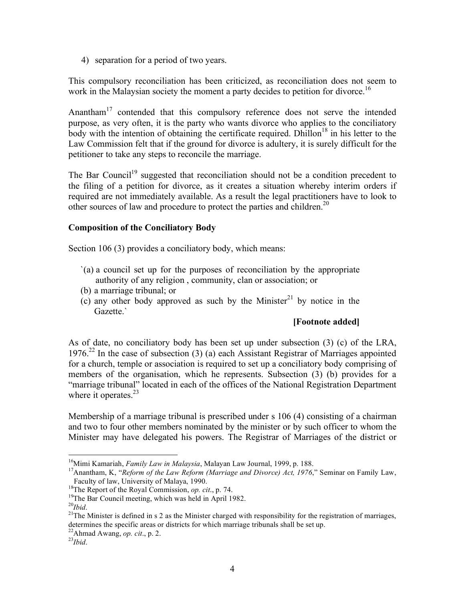4) separation for a period of two years.

This compulsory reconciliation has been criticized, as reconciliation does not seem to work in the Malaysian society the moment a party decides to petition for divorce.<sup>16</sup>

Anantham<sup>17</sup> contended that this compulsory reference does not serve the intended purpose, as very often, it is the party who wants divorce who applies to the conciliatory body with the intention of obtaining the certificate required. Dhillon<sup>18</sup> in his letter to the Law Commission felt that if the ground for divorce is adultery, it is surely difficult for the petitioner to take any steps to reconcile the marriage.

The Bar Council<sup>19</sup> suggested that reconciliation should not be a condition precedent to the filing of a petition for divorce, as it creates a situation whereby interim orders if required are not immediately available. As a result the legal practitioners have to look to other sources of law and procedure to protect the parties and children.<sup>20</sup>

# **Composition of the Conciliatory Body**

Section 106 (3) provides a conciliatory body, which means:

- `(a) a council set up for the purposes of reconciliation by the appropriate authority of any religion , community, clan or association; or
- (b) a marriage tribunal; or
- $(c)$  any other body approved as such by the Minister<sup>21</sup> by notice in the Gazette.`

# **[Footnote added]**

As of date, no conciliatory body has been set up under subsection (3) (c) of the LRA, 1976.<sup>22</sup> In the case of subsection (3) (a) each Assistant Registrar of Marriages appointed for a church, temple or association is required to set up a conciliatory body comprising of members of the organisation, which he represents. Subsection (3) (b) provides for a "marriage tribunal" located in each of the offices of the National Registration Department where it operates.<sup>23</sup>

Membership of a marriage tribunal is prescribed under s 106 (4) consisting of a chairman and two to four other members nominated by the minister or by such officer to whom the Minister may have delegated his powers. The Registrar of Marriages of the district or

 <sup>16</sup> <sup>16</sup>Mimi Kamariah, *Family Law in Malaysia*, Malayan Law Journal, 1999, p. 188.<br><sup>17</sup> Aponthom K. <sup>66</sup> Beform of the Law Beform *(Mamigos and Diverse)*, 4et, 1976.

<sup>&</sup>lt;sup>17</sup> Anantham, K, "*Reform of the Law Reform (Marriage and Divorce) Act, 1976,*" Seminar on Family Law, Faculty of law, University of Malaya, 1990. Faculty of law, University of Malaya, 1990.<br><sup>18</sup>The Bonart of the Boyal Commission, an ai

<sup>&</sup>lt;sup>18</sup>The Report of the Royal Commission, *op. cit.*, p. 74.<sup>19</sup>The Bar Council meeting, which was held in April 1.

 $19$ The Bar Council meeting, which was held in April 1982.

 $^{20}Ibid.$ 

 $^{21}$ The Minister is defined in s 2 as the Minister charged with responsibility for the registration of marriages, determines the specific areas or districts for which marriage tribunals shall be set up.<br> $22\text{ A bmod}$  Awang, an git, n 2

 $\frac{22}{24}$ Ahmad Awang, *op. cit.*, p. 2.

 $^{23}Ibid.$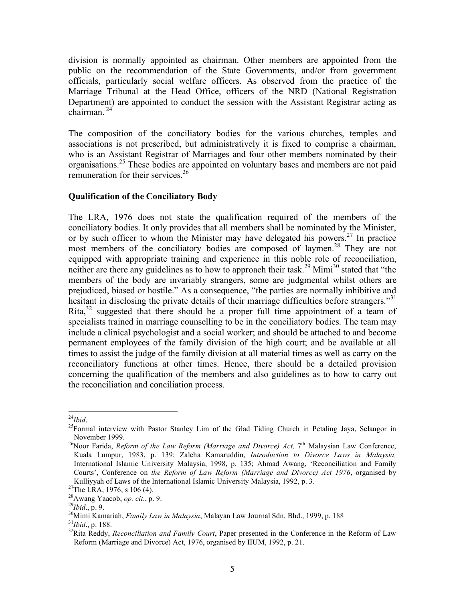division is normally appointed as chairman. Other members are appointed from the public on the recommendation of the State Governments, and/or from government officials, particularly social welfare officers. As observed from the practice of the Marriage Tribunal at the Head Office, officers of the NRD (National Registration Department) are appointed to conduct the session with the Assistant Registrar acting as chairman. <sup>24</sup>

The composition of the conciliatory bodies for the various churches, temples and associations is not prescribed, but administratively it is fixed to comprise a chairman, who is an Assistant Registrar of Marriages and four other members nominated by their organisations. <sup>25</sup> These bodies are appointed on voluntary bases and members are not paid remuneration for their services.<sup>26</sup>

# **Qualification of the Conciliatory Body**

The LRA, 1976 does not state the qualification required of the members of the conciliatory bodies. It only provides that all members shall be nominated by the Minister, or by such officer to whom the Minister may have delegated his powers.<sup>27</sup> In practice most members of the conciliatory bodies are composed of laymen.<sup>28</sup> They are not equipped with appropriate training and experience in this noble role of reconciliation, neither are there any guidelines as to how to approach their task.<sup>29</sup> Mimi<sup>30</sup> stated that "the members of the body are invariably strangers, some are judgmental whilst others are prejudiced, biased or hostile." As a consequence, "the parties are normally inhibitive and hesitant in disclosing the private details of their marriage difficulties before strangers."<sup>31</sup> Rita,<sup>32</sup> suggested that there should be a proper full time appointment of a team of specialists trained in marriage counselling to be in the conciliatory bodies. The team may include a clinical psychologist and a social worker; and should be attached to and become permanent employees of the family division of the high court; and be available at all times to assist the judge of the family division at all material times as well as carry on the reconciliatory functions at other times. Hence, there should be a detailed provision concerning the qualification of the members and also guidelines as to how to carry out the reconciliation and conciliation process.

 $^{24}$ *Hbid.* 

<sup>&</sup>lt;sup>24</sup>Ibid.<br><sup>25</sup>Formal interview with Pastor Stanley Lim of the Glad Tiding Church in Petaling Jaya, Selangor in November 1999. <sup>26</sup> Noor Farida, *Reform of the Law Reform (Marriage and Divorce) Act,* 7th Malaysian Law Conference,

Kuala Lumpur, 1983, p. 139; Zaleha Kamaruddin, *Introduction to Divorce Laws in Malaysia,* International Islamic University Malaysia, 1998, p. 135; Ahmad Awang, 'Reconciliation and Family Courts', Conference on *the Reform of Law Reform (Marriage and Divorce) Act 1976*, organised by Kulliyyah of Laws of the International Islamic University Malaysia, 1992, p. 3.

 $2^{7}$ The LRA, 1976, s 106 (4).

<sup>&</sup>lt;sup>28</sup>Awang Yaacob, *op. cit.*, p. 9.

 $^{29}$ *Ibid.*, p. 9.

<sup>&</sup>lt;sup>30</sup>Mimi Kamariah, *Family Law in Malaysia*, Malayan Law Journal Sdn. Bhd., 1999, p. 188

 $13^{31}$ *Ibid.*, p. 188.

<sup>&</sup>lt;sup>32</sup>Rita Reddy, *Reconciliation and Family Court*, Paper presented in the Conference in the Reform of Law Reform (Marriage and Divorce) Act, 1976, organised by IIUM, 1992, p. 21.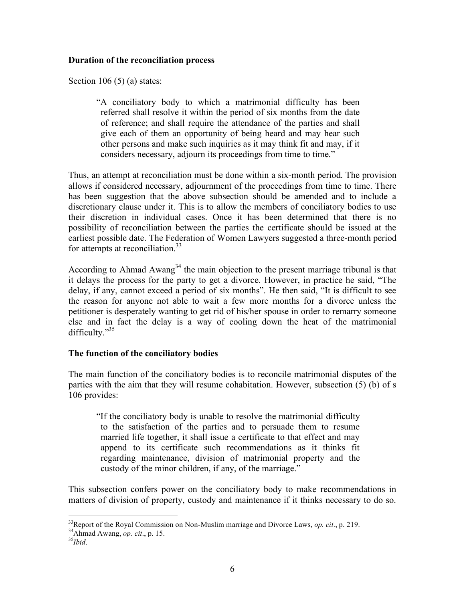### **Duration of the reconciliation process**

Section 106  $(5)$  (a) states:

"A conciliatory body to which a matrimonial difficulty has been referred shall resolve it within the period of six months from the date of reference; and shall require the attendance of the parties and shall give each of them an opportunity of being heard and may hear such other persons and make such inquiries as it may think fit and may, if it considers necessary, adjourn its proceedings from time to time."

Thus, an attempt at reconciliation must be done within a six-month period. The provision allows if considered necessary, adjournment of the proceedings from time to time. There has been suggestion that the above subsection should be amended and to include a discretionary clause under it. This is to allow the members of conciliatory bodies to use their discretion in individual cases. Once it has been determined that there is no possibility of reconciliation between the parties the certificate should be issued at the earliest possible date. The Federation of Women Lawyers suggested a three-month period for attempts at reconciliation.<sup>33</sup>

According to Ahmad Awang<sup>34</sup> the main objection to the present marriage tribunal is that it delays the process for the party to get a divorce. However, in practice he said, "The delay, if any, cannot exceed a period of six months". He then said, "It is difficult to see the reason for anyone not able to wait a few more months for a divorce unless the petitioner is desperately wanting to get rid of his/her spouse in order to remarry someone else and in fact the delay is a way of cooling down the heat of the matrimonial difficulty."<sup>35</sup>

# **The function of the conciliatory bodies**

The main function of the conciliatory bodies is to reconcile matrimonial disputes of the parties with the aim that they will resume cohabitation. However, subsection (5) (b) of s 106 provides:

"If the conciliatory body is unable to resolve the matrimonial difficulty to the satisfaction of the parties and to persuade them to resume married life together, it shall issue a certificate to that effect and may append to its certificate such recommendations as it thinks fit regarding maintenance, division of matrimonial property and the custody of the minor children, if any, of the marriage."

This subsection confers power on the conciliatory body to make recommendations in matters of division of property, custody and maintenance if it thinks necessary to do so.

 <sup>33</sup> <sup>35</sup>Report of the Royal Commission on Non-Muslim marriage and Divorce Laws, *op. cit.*, p. 219.  $34A$  hmod Awang, an *ait*. n 15

<sup>&</sup>lt;sup>34</sup>Ahmad Awang, *op. cit.*, p. 15.

 $35$ *Ibid.*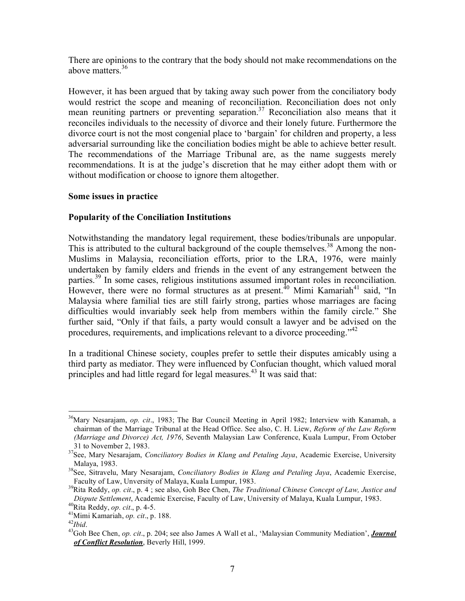There are opinions to the contrary that the body should not make recommendations on the above matters. 36

However, it has been argued that by taking away such power from the conciliatory body would restrict the scope and meaning of reconciliation. Reconciliation does not only mean reuniting partners or preventing separation.<sup>37</sup> Reconciliation also means that it reconciles individuals to the necessity of divorce and their lonely future. Furthermore the divorce court is not the most congenial place to 'bargain' for children and property, a less adversarial surrounding like the conciliation bodies might be able to achieve better result. The recommendations of the Marriage Tribunal are, as the name suggests merely recommendations. It is at the judge's discretion that he may either adopt them with or without modification or choose to ignore them altogether.

### **Some issues in practice**

## **Popularity of the Conciliation Institutions**

Notwithstanding the mandatory legal requirement, these bodies/tribunals are unpopular. This is attributed to the cultural background of the couple themselves.<sup>38</sup> Among the non-Muslims in Malaysia, reconciliation efforts, prior to the LRA, 1976, were mainly undertaken by family elders and friends in the event of any estrangement between the parties.<sup>39</sup> In some cases, religious institutions assumed important roles in reconciliation. However, there were no formal structures as at present.<sup>40</sup> Mimi Kamariah<sup>41</sup> said, "In Malaysia where familial ties are still fairly strong, parties whose marriages are facing difficulties would invariably seek help from members within the family circle." She further said, "Only if that fails, a party would consult a lawyer and be advised on the procedures, requirements, and implications relevant to a divorce proceeding."<sup>42</sup>

In a traditional Chinese society, couples prefer to settle their disputes amicably using a third party as mediator. They were influenced by Confucian thought, which valued moral principles and had little regard for legal measures.<sup>43</sup> It was said that:

<sup>&</sup>lt;sup>36</sup>Mary Nesarajam, *op. cit.*, 1983; The Bar Council Meeting in April 1982; Interview with Kanamah, a chairman of the Marriage Tribunal at the Head Office. See also, C. H. Liew, *Reform of the Law Reform (Marriage and Divorce) Act, 1976*, Seventh Malaysian Law Conference, Kuala Lumpur, From October 31 to November 2, 1983.

See, Mary Nesarajam, *Conciliatory Bodies in Klang and Petaling Jaya*, Academic Exercise, University Malaya, 1983.

See, Sitravelu, Mary Nesarajam, *Conciliatory Bodies in Klang and Petaling Jaya*, Academic Exercise, Faculty of Law, Unversity of Malaya, Kuala Lumpur, 1983.

Rita Reddy, *op. cit*., p. 4 ; see also, Goh Bee Chen, *The Traditional Chinese Concept of Law, Justice and Dispute Settlement*, Academic Exercise, Faculty of Law, University of Malaya, Kuala Lumpur, 1983. <sup>40</sup>

 $^{40}$ Rita Reddy, *op. cit.*, p. 4-5.

<sup>&</sup>lt;sup>41</sup>Mimi Kamariah, op. cit., p. 188.

 $^{42}Ibid.$ 

Goh Bee Chen, *op. cit*., p. 204; see also James A Wall et al., 'Malaysian Community Mediation', *Journal of Conflict Resolution*, Beverly Hill, 1999.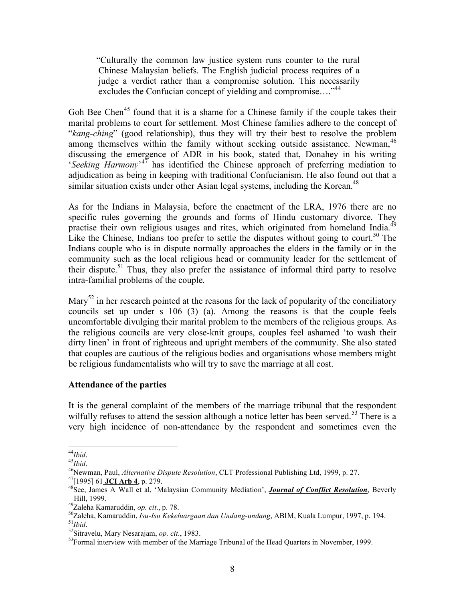"Culturally the common law justice system runs counter to the rural Chinese Malaysian beliefs. The English judicial process requires of a judge a verdict rather than a compromise solution. This necessarily excludes the Confucian concept of yielding and compromise...."<sup>44</sup>

Goh Bee Chen<sup>45</sup> found that it is a shame for a Chinese family if the couple takes their marital problems to court for settlement. Most Chinese families adhere to the concept of "*kang-ching*" (good relationship), thus they will try their best to resolve the problem among themselves within the family without seeking outside assistance. Newman,<sup>46</sup> discussing the emergence of ADR in his book, stated that, Donahey in his writing '*Seeking Harmony*' <sup>47</sup> has identified the Chinese approach of preferring mediation to adjudication as being in keeping with traditional Confucianism. He also found out that a similar situation exists under other Asian legal systems, including the Korean.<sup>48</sup>

As for the Indians in Malaysia, before the enactment of the LRA, 1976 there are no specific rules governing the grounds and forms of Hindu customary divorce. They practise their own religious usages and rites, which originated from homeland India.<sup>49</sup> Like the Chinese, Indians too prefer to settle the disputes without going to court.<sup>50</sup> The Indians couple who is in dispute normally approaches the elders in the family or in the community such as the local religious head or community leader for the settlement of their dispute.<sup>51</sup> Thus, they also prefer the assistance of informal third party to resolve intra-familial problems of the couple.

Mary<sup>52</sup> in her research pointed at the reasons for the lack of popularity of the conciliatory councils set up under s 106 (3) (a). Among the reasons is that the couple feels uncomfortable divulging their marital problem to the members of the religious groups. As the religious councils are very close-knit groups, couples feel ashamed 'to wash their dirty linen' in front of righteous and upright members of the community. She also stated that couples are cautious of the religious bodies and organisations whose members might be religious fundamentalists who will try to save the marriage at all cost.

#### **Attendance of the parties**

It is the general complaint of the members of the marriage tribunal that the respondent wilfully refuses to attend the session although a notice letter has been served.<sup>53</sup> There is a very high incidence of non-attendance by the respondent and sometimes even the

 <sup>44</sup> <sup>44</sup>Ibid.<br><sup>45</sup>Ibid.

 $45$ *Ibid.* 

<sup>&</sup>lt;sup>46</sup>Newman, Paul, *Alternative Dispute Resolution*, CLT Professional Publishing Ltd, 1999, p. 27.

<sup>[1995]</sup> <sup>61</sup> **JCI Arb <sup>4</sup>**, p. 279. <sup>48</sup>

See, James A Wall et al, 'Malaysian Community Mediation', *Journal of Conflict Resolution*, Beverly  $Hill, 1999.$ 

Zaleha Kamaruddin, *op. cit*., p. 78. <sup>50</sup>

Zaleha, Kamaruddin, *Isu-Isu Kekeluargaan dan Undang-undang*, ABIM, Kuala Lumpur, 1997, p. 194. <sup>51</sup>  $^{51}Ibid.$ 

Sitravelu, Mary Nesarajam, *op. cit*., 1983. <sup>53</sup>

 $53$ Formal interview with member of the Marriage Tribunal of the Head Quarters in November, 1999.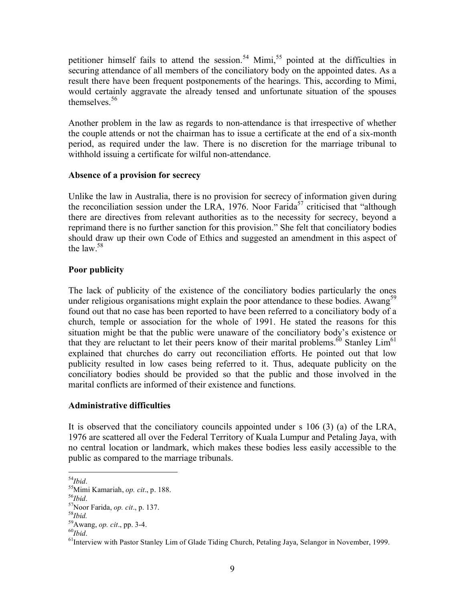petitioner himself fails to attend the session.<sup>54</sup> Mimi,<sup>55</sup> pointed at the difficulties in securing attendance of all members of the conciliatory body on the appointed dates. As a result there have been frequent postponements of the hearings. This, according to Mimi, would certainly aggravate the already tensed and unfortunate situation of the spouses themselves. 56

Another problem in the law as regards to non-attendance is that irrespective of whether the couple attends or not the chairman has to issue a certificate at the end of a six-month period, as required under the law. There is no discretion for the marriage tribunal to withhold issuing a certificate for wilful non-attendance.

## **Absence of a provision for secrecy**

Unlike the law in Australia, there is no provision for secrecy of information given during the reconciliation session under the LRA, 1976. Noor Farida<sup>57</sup> criticised that "although there are directives from relevant authorities as to the necessity for secrecy, beyond a reprimand there is no further sanction for this provision." She felt that conciliatory bodies should draw up their own Code of Ethics and suggested an amendment in this aspect of the law. 58

# **Poor publicity**

The lack of publicity of the existence of the conciliatory bodies particularly the ones under religious organisations might explain the poor attendance to these bodies. Awang<sup>59</sup> found out that no case has been reported to have been referred to a conciliatory body of a church, temple or association for the whole of 1991. He stated the reasons for this situation might be that the public were unaware of the conciliatory body's existence or that they are reluctant to let their peers know of their marital problems.<sup>60</sup> Stanley  $\mathrm{Lim}^{61}$ explained that churches do carry out reconciliation efforts. He pointed out that low publicity resulted in low cases being referred to it. Thus, adequate publicity on the conciliatory bodies should be provided so that the public and those involved in the marital conflicts are informed of their existence and functions.

# **Administrative difficulties**

It is observed that the conciliatory councils appointed under s 106 (3) (a) of the LRA, 1976 are scattered all over the Federal Territory of Kuala Lumpur and Petaling Jaya, with no central location or landmark, which makes these bodies less easily accessible to the public as compared to the marriage tribunals.

 <sup>54</sup> <sup>54</sup>Ibid.<br><sup>55</sup>Mim

Mimi Kamariah, *op. cit*., p. 188. <sup>56</sup>

 $^{56}Ibid.$  $57$ Noor Farida, *op. cit.*, p. 137.

 $^{58}$ *Ibid.* 

Awang, *op. cit*., pp. 3-4. <sup>60</sup>

 $^{60}$ *Ibid*.

<sup>&</sup>lt;sup>61</sup>Interview with Pastor Stanley Lim of Glade Tiding Church, Petaling Jaya, Selangor in November, 1999.